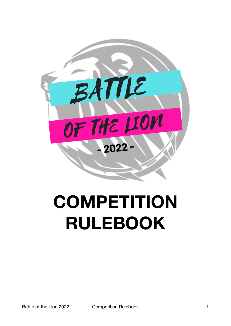

# **COMPETITION RULEBOOK**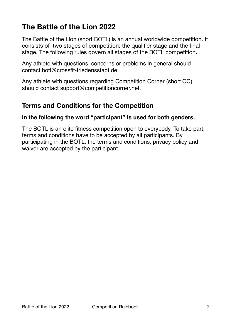# **The Battle of the Lion 2022**

The Battle of the Lion (short BOTL) is an annual worldwide competition. It consists of two stages of competition: the qualifier stage and the final stage. The following rules govern all stages of the BOTL competition**.** 

Any athlete with questions, concerns or problems in general should contact botl@crossfit-friedensstadt.de.

Any athlete with questions regarding Competition Corner (short CC) should contact support@competitioncorner.net.

### **Terms and Conditions for the Competition**

#### **In the following the word "participant" is used for both genders.**

The BOTL is an elite fitness competition open to everybody. To take part, terms and conditions have to be accepted by all participants. By participating in the BOTL, the terms and conditions, privacy policy and waiver are accepted by the participant.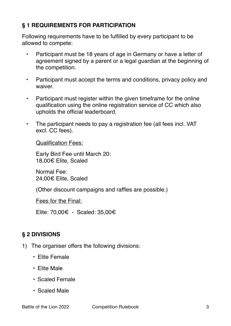#### **§ 1 REQUIREMENTS FOR PARTICIPATION**

Following requirements have to be fulfilled by every participant to be allowed to compete:

- Participant must be 18 years of age in Germany or have a letter of agreement signed by a parent or a legal guardian at the beginning of the competition.
- Participant must accept the terms and conditions, privacy policy and waiver.
- Participant must register within the given timeframe for the online qualification using the online registration service of CC which also upholds the official leaderboard.
- The participant needs to pay a registration fee (all fees incl. VAT excl. CC fees).

Qualification Fees:

Early Bird Fee until March 20: 18,00€ Elite, Scaled

Normal Fee: 24,00€ Elite, Scaled

(Other discount campaigns and raffles are possible.)

Fees for the Final:

Elite: 70,00€ - Scaled: 35,00€

## **§ 2 DIVISIONS**

- 1) The organiser offers the following divisions:
	- Elite Female
	- Elite Male
	- Scaled Female
	- Scaled Male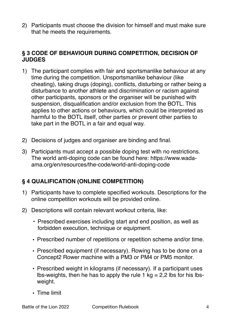2) Participants must choose the division for himself and must make sure that he meets the requirements.

#### **§ 3 CODE OF BEHAVIOUR DURING COMPETITION, DECISION OF JUDGES**

- 1) The participant complies with fair and sportsmanlike behaviour at any time during the competition. Unsportsmanlike behaviour (like cheating), taking drugs (doping), conflicts, disturbing or rather being a disturbance to another athlete and discrimination or racism against other participants, sponsors or the organiser will be punished with suspension, disqualification and/or exclusion from the BOTL. This applies to other actions or behaviours, which could be interpreted as harmful to the BOTL itself, other parties or prevent other parties to take part in the BOTL in a fair and equal way.
- 2) Decisions of judges and organiser are binding and final.
- 3) Participants must accept a possible doping test with no restrictions. The world anti-doping code can be found here: https://www.wadaama.org/en/resources/the-code/world-anti-doping-code

#### **§ 4 QUALIFICATION (ONLINE COMPETITION)**

- 1) Participants have to complete specified workouts. Descriptions for the online competition workouts will be provided online.
- 2) Descriptions will contain relevant workout criteria, like:
	- Prescribed exercises including start and end position, as well as forbidden execution, technique or equipment.
	- Prescribed number of repetitions or repetition scheme and/or time.
	- Prescribed equipment (if necessary). Rowing has to be done on a Concept2 Rower machine with a PM3 or PM4 or PM5 monitor.
	- Prescribed weight in kilograms (if necessary). If a participant uses lbs-weights, then he has to apply the rule 1 kg =  $2,2$  lbs for his lbsweight.
	- Time limit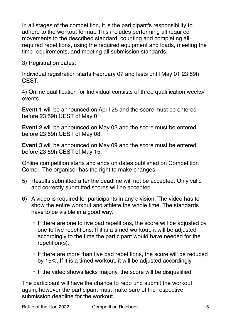In all stages of the competition, it is the participant's responsibility to adhere to the workout format. This includes performing all required movements to the described standard, counting and completing all required repetitions, using the required equipment and loads, meeting the time requirements, and meeting all submission standards**.** 

3) Registration dates:

Individual registration starts February 07 and lasts until May 01 23:59h CEST.

4) Online qualification for Individual consists of three qualification weeks/ events.

**Event 1** will be announced on April 25 and the score must be entered before 23:59h CEST of May 01

**Event 2** will be announced on May 02 and the score must be entered before 23:59h CEST of May 08.

**Event 3** will be announced on May 09 and the score must be entered before 23:59h CEST of May 15.

Online competition starts and ends on dates published on Competition Corner. The organiser has the right to make changes.

- 5) Results submitted after the deadline will not be accepted. Only valid and correctly submitted scores will be accepted.
- 6) A video is required for participants in any division. The video has to show the entire workout and athlete the whole time. The standards have to be visible in a good way.
	- If there are one to five bad repetitions, the score will be adjusted by one to five repetitions. If it is a timed workout, it will be adjusted accordingly to the time the participant would have needed for the repetition(s).
	- If there are more than five bad repetitions, the score will be reduced by 15%. If it is a timed workout, it will be adjusted accordingly.
	- If the video shows lacks majorly, the score will be disqualified.

The participant will have the chance to redo und submit the workout again, however the participant must make sure of the respective submission deadline for the workout.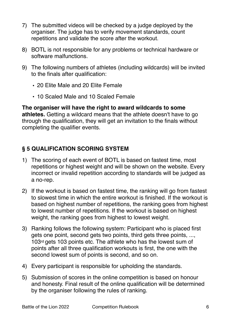- 7) The submitted videos will be checked by a judge deployed by the organiser. The judge has to verify movement standards, count repetitions and validate the score after the workout.
- 8) BOTL is not responsible for any problems or technical hardware or software malfunctions.
- 9) The following numbers of athletes (including wildcards) will be invited to the finals after qualification:
	- 20 Elite Male and 20 Elite Female
	- 10 Scaled Male and 10 Scaled Female

**The organiser will have the right to award wildcards to some athletes.** Getting a wildcard means that the athlete doesn't have to go through the qualification, they will get an invitation to the finals without completing the qualifier events.

# **§ 5 QUALIFICATION SCORING SYSTEM**

- 1) The scoring of each event of BOTL is based on fastest time, most repetitions or highest weight and will be shown on the website. Every incorrect or invalid repetition according to standards will be judged as a no-rep.
- 2) If the workout is based on fastest time, the ranking will go from fastest to slowest time in which the entire workout is finished. If the workout is based on highest number of repetitions, the ranking goes from highest to lowest number of repetitions. If the workout is based on highest weight, the ranking goes from highest to lowest weight.
- 3) Ranking follows the following system: Participant who is placed first gets one point, second gets two points, third gets three points, ..., 103rd gets 103 points etc. The athlete who has the lowest sum of points after all three qualification workouts is first, the one with the second lowest sum of points is second, and so on.
- 4) Every participant is responsible for upholding the standards.
- 5) Submission of scores in the online competition is based on honour and honesty. Final result of the online qualification will be determined by the organiser following the rules of ranking.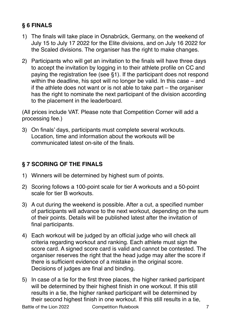# **§ 6 FINALS**

- 1) The finals will take place in Osnabrück, Germany, on the weekend of July 15 to July 17 2022 for the Elite divisions, and on July 16 2022 for the Scaled divisions. The organiser has the right to make changes.
- 2) Participants who will get an invitation to the finals will have three days to accept the invitation by logging in to their athlete profile on CC and paying the registration fee (see §1). If the participant does not respond within the deadline, his spot will no longer be valid. In this case – and if the athlete does not want or is not able to take part – the organiser has the right to nominate the next participant of the division according to the placement in the leaderboard.

(All prices include VAT. Please note that Competition Corner will add a processing fee.)

3) On finals' days, participants must complete several workouts. Location, time and information about the workouts will be communicated latest on-site of the finals.

# **§ 7 SCORING OF THE FINALS**

- 1) Winners will be determined by highest sum of points.
- 2) Scoring follows a 100-point scale for tier A workouts and a 50-point scale for tier B workouts.
- 3) A cut during the weekend is possible. After a cut, a specified number of participants will advance to the next workout, depending on the sum of their points. Details will be published latest after the invitation of final participants.
- 4) Each workout will be judged by an official judge who will check all criteria regarding workout and ranking. Each athlete must sign the score card. A signed score card is valid and cannot be contested. The organiser reserves the right that the head judge may alter the score if there is sufficient evidence of a mistake in the original score. Decisions of judges are final and binding.
- 5) In case of a tie for the first three places, the higher ranked participant will be determined by their highest finish in one workout. If this still results in a tie, the higher ranked participant will be determined by their second highest finish in one workout. If this still results in a tie,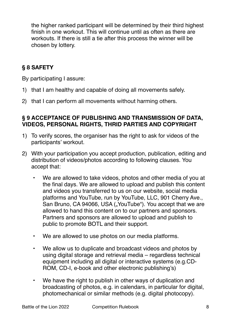the higher ranked participant will be determined by their third highest finish in one workout. This will continue until as often as there are workouts. If there is still a tie after this process the winner will be chosen by lottery.

#### **§ 8 SAFETY**

By participating I assure:

- 1) that I am healthy and capable of doing all movements safely.
- 2) that I can perform all movements without harming others.

#### **§ 9 ACCEPTANCE OF PUBLISHING AND TRANSMISSION OF DATA, VIDEOS, PERSONAL RIGHTS, THRID PARTIES AND COPYRIGHT**

- 1) To verify scores, the organiser has the right to ask for videos of the participants' workout.
- 2) With your participation you accept production, publication, editing and distribution of videos/photos according to following clauses. You accept that:
	- We are allowed to take videos, photos and other media of you at the final days. We are allowed to upload and publish this content and videos you transferred to us on our website, social media platforms and YouTube, run by YouTube, LLC, 901 Cherry Ave., San Bruno, CA 94066, USA ("YouTube"). You accept that we are allowed to hand this content on to our partners and sponsors. Partners and sponsors are allowed to upload and publish to public to promote BOTL and their support.
	- We are allowed to use photos on our media platforms.
	- We allow us to duplicate and broadcast videos and photos by using digital storage and retrieval media – regardless technical equipment including all digital or interactive systems (e.g.CD-ROM, CD-I, e-book and other electronic publishing's)
	- We have the right to publish in other ways of duplication and broadcasting of photos, e.g. in calendars, in particular for digital, photomechanical or similar methods (e.g. digital photocopy).